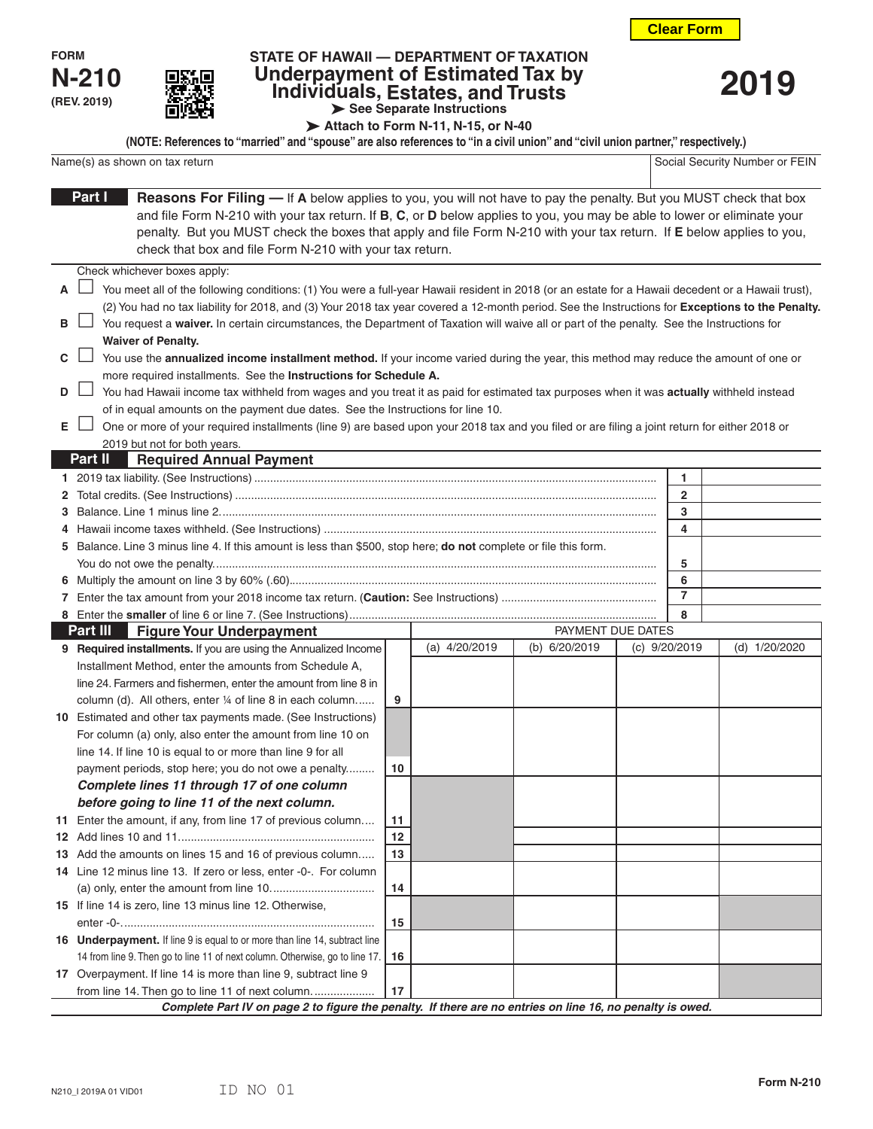**2019**

| <b>FORM</b>  |  |
|--------------|--|
| <b>N-210</b> |  |
| (REV. 2019)  |  |



## **STATE OF HAWAII — DEPARTMENT OF TAXATION Underpayment of Estimated Tax by Individuals, Estates, and Trusts See Separate Instructions**

**Attach to Form N-11, N-15, or N-40**

| (NOTE: References to "married" and "spouse" are also references to "in a civil union" and "civil union partner," respectively.) |                                |
|---------------------------------------------------------------------------------------------------------------------------------|--------------------------------|
| Name(s) as shown on tax return                                                                                                  | Social Security Number or FEIN |

|    | <b>Reasons For Filing — If A</b> below applies to you, you will not have to pay the penalty. But you MUST check that box<br>Part I                                      |    |               |                   |  |                 |               |
|----|-------------------------------------------------------------------------------------------------------------------------------------------------------------------------|----|---------------|-------------------|--|-----------------|---------------|
|    | and file Form N-210 with your tax return. If B, C, or D below applies to you, you may be able to lower or eliminate your                                                |    |               |                   |  |                 |               |
|    | penalty. But you MUST check the boxes that apply and file Form N-210 with your tax return. If E below applies to you,                                                   |    |               |                   |  |                 |               |
|    | check that box and file Form N-210 with your tax return.                                                                                                                |    |               |                   |  |                 |               |
|    | Check whichever boxes apply:                                                                                                                                            |    |               |                   |  |                 |               |
| A  | You meet all of the following conditions: (1) You were a full-year Hawaii resident in 2018 (or an estate for a Hawaii decedent or a Hawaii trust),                      |    |               |                   |  |                 |               |
|    | (2) You had no tax liability for 2018, and (3) Your 2018 tax year covered a 12-month period. See the Instructions for Exceptions to the Penalty.                        |    |               |                   |  |                 |               |
| в  |                                                                                                                                                                         |    |               |                   |  |                 |               |
|    | You request a waiver. In certain circumstances, the Department of Taxation will waive all or part of the penalty. See the Instructions for<br><b>Waiver of Penalty.</b> |    |               |                   |  |                 |               |
| C  | You use the annualized income installment method. If your income varied during the year, this method may reduce the amount of one or                                    |    |               |                   |  |                 |               |
|    | more required installments. See the Instructions for Schedule A.                                                                                                        |    |               |                   |  |                 |               |
| D  | △ You had Hawaii income tax withheld from wages and you treat it as paid for estimated tax purposes when it was actually withheld instead                               |    |               |                   |  |                 |               |
|    | of in equal amounts on the payment due dates. See the Instructions for line 10.                                                                                         |    |               |                   |  |                 |               |
| Е  | One or more of your required installments (line 9) are based upon your 2018 tax and you filed or are filing a joint return for either 2018 or                           |    |               |                   |  |                 |               |
|    | 2019 but not for both years.                                                                                                                                            |    |               |                   |  |                 |               |
|    | <b>Required Annual Payment</b><br><b>Part II</b>                                                                                                                        |    |               |                   |  |                 |               |
|    |                                                                                                                                                                         |    |               |                   |  | 1               |               |
| 2  |                                                                                                                                                                         |    |               |                   |  | $\overline{2}$  |               |
| 3  |                                                                                                                                                                         |    |               |                   |  | 3               |               |
|    |                                                                                                                                                                         |    |               |                   |  | 4               |               |
| 5  | Balance. Line 3 minus line 4. If this amount is less than \$500, stop here; do not complete or file this form.                                                          |    |               |                   |  |                 |               |
|    |                                                                                                                                                                         |    |               |                   |  | 5               |               |
| 6  |                                                                                                                                                                         |    |               |                   |  | 6               |               |
|    |                                                                                                                                                                         |    |               |                   |  | $\overline{7}$  |               |
|    |                                                                                                                                                                         |    |               |                   |  | 8               |               |
|    | Part III<br><b>Figure Your Underpayment</b>                                                                                                                             |    |               | PAYMENT DUE DATES |  |                 |               |
|    | 9 Required installments. If you are using the Annualized Income                                                                                                         |    | (a) 4/20/2019 | (b) 6/20/2019     |  | (c) $9/20/2019$ | (d) 1/20/2020 |
|    | Installment Method, enter the amounts from Schedule A,                                                                                                                  |    |               |                   |  |                 |               |
|    | line 24. Farmers and fishermen, enter the amount from line 8 in                                                                                                         |    |               |                   |  |                 |               |
|    | column (d). All others, enter 1/4 of line 8 in each column                                                                                                              | 9  |               |                   |  |                 |               |
|    | 10 Estimated and other tax payments made. (See Instructions)                                                                                                            |    |               |                   |  |                 |               |
|    | For column (a) only, also enter the amount from line 10 on                                                                                                              |    |               |                   |  |                 |               |
|    | line 14. If line 10 is equal to or more than line 9 for all                                                                                                             |    |               |                   |  |                 |               |
|    | payment periods, stop here; you do not owe a penalty                                                                                                                    | 10 |               |                   |  |                 |               |
|    | Complete lines 11 through 17 of one column                                                                                                                              |    |               |                   |  |                 |               |
|    | before going to line 11 of the next column.                                                                                                                             |    |               |                   |  |                 |               |
|    | 11 Enter the amount, if any, from line 17 of previous column                                                                                                            | 11 |               |                   |  |                 |               |
| 12 |                                                                                                                                                                         | 12 |               |                   |  |                 |               |
| 13 | Add the amounts on lines 15 and 16 of previous column                                                                                                                   | 13 |               |                   |  |                 |               |
|    | 14 Line 12 minus line 13. If zero or less, enter -0-. For column                                                                                                        |    |               |                   |  |                 |               |
|    |                                                                                                                                                                         | 14 |               |                   |  |                 |               |
|    | 15 If line 14 is zero, line 13 minus line 12. Otherwise,                                                                                                                |    |               |                   |  |                 |               |
|    | 16 Underpayment. If line 9 is equal to or more than line 14, subtract line                                                                                              | 15 |               |                   |  |                 |               |
|    |                                                                                                                                                                         |    |               |                   |  |                 |               |
|    | 14 from line 9. Then go to line 11 of next column. Otherwise, go to line 17.<br>17 Overpayment. If line 14 is more than line 9, subtract line 9                         | 16 |               |                   |  |                 |               |
|    | from line 14. Then go to line 11 of next column.                                                                                                                        | 17 |               |                   |  |                 |               |
|    |                                                                                                                                                                         |    |               |                   |  |                 |               |
|    | Complete Part IV on page 2 to figure the penalty. If there are no entries on line 16, no penalty is owed.                                                               |    |               |                   |  |                 |               |